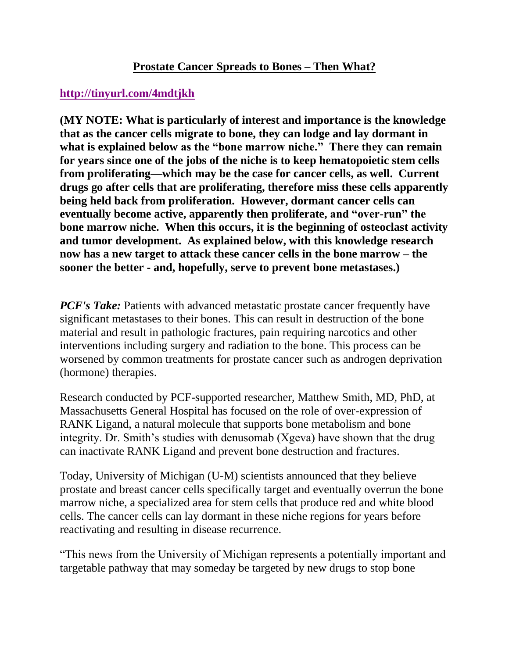## **Prostate Cancer Spreads to Bones – Then What?**

## **<http://tinyurl.com/4mdtjkh>**

**(MY NOTE: What is particularly of interest and importance is the knowledge that as the cancer cells migrate to bone, they can lodge and lay dormant in**  what is explained below as the "bone marrow niche." There they can remain **for years since one of the jobs of the niche is to keep hematopoietic stem cells from proliferating—which may be the case for cancer cells, as well. Current drugs go after cells that are proliferating, therefore miss these cells apparently being held back from proliferation. However, dormant cancer cells can eventually become active, apparently then proliferate, and "over-run" the bone marrow niche. When this occurs, it is the beginning of osteoclast activity and tumor development. As explained below, with this knowledge research now has a new target to attack these cancer cells in the bone marrow – the sooner the better - and, hopefully, serve to prevent bone metastases.)**

*PCF's Take:* Patients with advanced metastatic prostate cancer frequently have significant metastases to their bones. This can result in destruction of the bone material and result in pathologic fractures, pain requiring narcotics and other interventions including surgery and radiation to the bone. This process can be worsened by common treatments for prostate cancer such as androgen deprivation (hormone) therapies.

Research conducted by PCF-supported researcher, Matthew Smith, MD, PhD, at Massachusetts General Hospital has focused on the role of over-expression of RANK Ligand, a natural molecule that supports bone metabolism and bone integrity. Dr. Smith's studies with denusomab (Xgeva) have shown that the drug can inactivate RANK Ligand and prevent bone destruction and fractures.

Today, University of Michigan (U-M) scientists announced that they believe prostate and breast cancer cells specifically target and eventually overrun the bone marrow niche, a specialized area for stem cells that produce red and white blood cells. The cancer cells can lay dormant in these niche regions for years before reactivating and resulting in disease recurrence.

"This news from the University of Michigan represents a potentially important and targetable pathway that may someday be targeted by new drugs to stop bone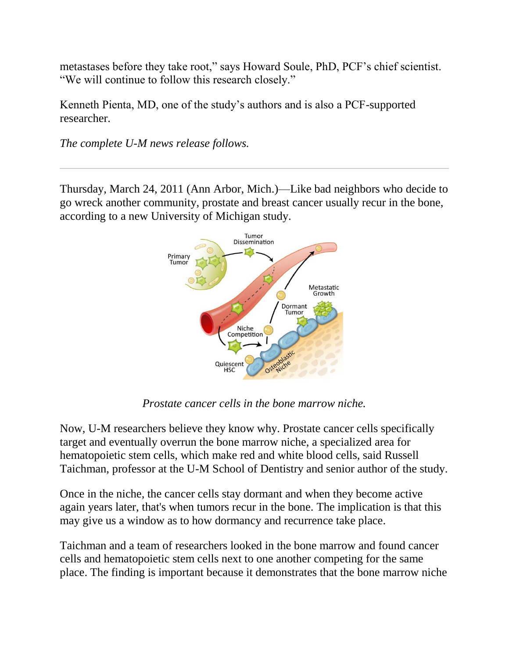metastases before they take root," says Howard Soule, PhD, PCF's chief scientist. "We will continue to follow this research closely."

Kenneth Pienta, MD, one of the study's authors and is also a PCF-supported researcher.

*The complete U-M news release follows.*

Thursday, March 24, 2011 (Ann Arbor, Mich.)—Like bad neighbors who decide to go wreck another community, prostate and breast cancer usually recur in the bone, according to a new University of Michigan study.



*Prostate cancer cells in the bone marrow niche.*

Now, U-M researchers believe they know why. Prostate cancer cells specifically target and eventually overrun the bone marrow niche, a specialized area for hematopoietic stem cells, which make red and white blood cells, said Russell Taichman, professor at the U-M School of Dentistry and senior author of the study.

Once in the niche, the cancer cells stay dormant and when they become active again years later, that's when tumors recur in the bone. The implication is that this may give us a window as to how dormancy and recurrence take place.

Taichman and a team of researchers looked in the bone marrow and found cancer cells and hematopoietic stem cells next to one another competing for the same place. The finding is important because it demonstrates that the bone marrow niche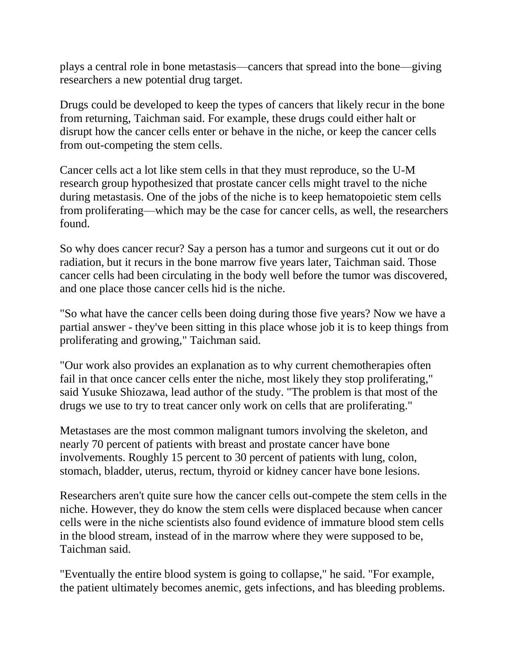plays a central role in bone metastasis—cancers that spread into the bone—giving researchers a new potential drug target.

Drugs could be developed to keep the types of cancers that likely recur in the bone from returning, Taichman said. For example, these drugs could either halt or disrupt how the cancer cells enter or behave in the niche, or keep the cancer cells from out-competing the stem cells.

Cancer cells act a lot like stem cells in that they must reproduce, so the U-M research group hypothesized that prostate cancer cells might travel to the niche during metastasis. One of the jobs of the niche is to keep hematopoietic stem cells from proliferating—which may be the case for cancer cells, as well, the researchers found.

So why does cancer recur? Say a person has a tumor and surgeons cut it out or do radiation, but it recurs in the bone marrow five years later, Taichman said. Those cancer cells had been circulating in the body well before the tumor was discovered, and one place those cancer cells hid is the niche.

"So what have the cancer cells been doing during those five years? Now we have a partial answer - they've been sitting in this place whose job it is to keep things from proliferating and growing," Taichman said.

"Our work also provides an explanation as to why current chemotherapies often fail in that once cancer cells enter the niche, most likely they stop proliferating," said Yusuke Shiozawa, lead author of the study. "The problem is that most of the drugs we use to try to treat cancer only work on cells that are proliferating."

Metastases are the most common malignant tumors involving the skeleton, and nearly 70 percent of patients with breast and prostate cancer have bone involvements. Roughly 15 percent to 30 percent of patients with lung, colon, stomach, bladder, uterus, rectum, thyroid or kidney cancer have bone lesions.

Researchers aren't quite sure how the cancer cells out-compete the stem cells in the niche. However, they do know the stem cells were displaced because when cancer cells were in the niche scientists also found evidence of immature blood stem cells in the blood stream, instead of in the marrow where they were supposed to be, Taichman said.

"Eventually the entire blood system is going to collapse," he said. "For example, the patient ultimately becomes anemic, gets infections, and has bleeding problems.